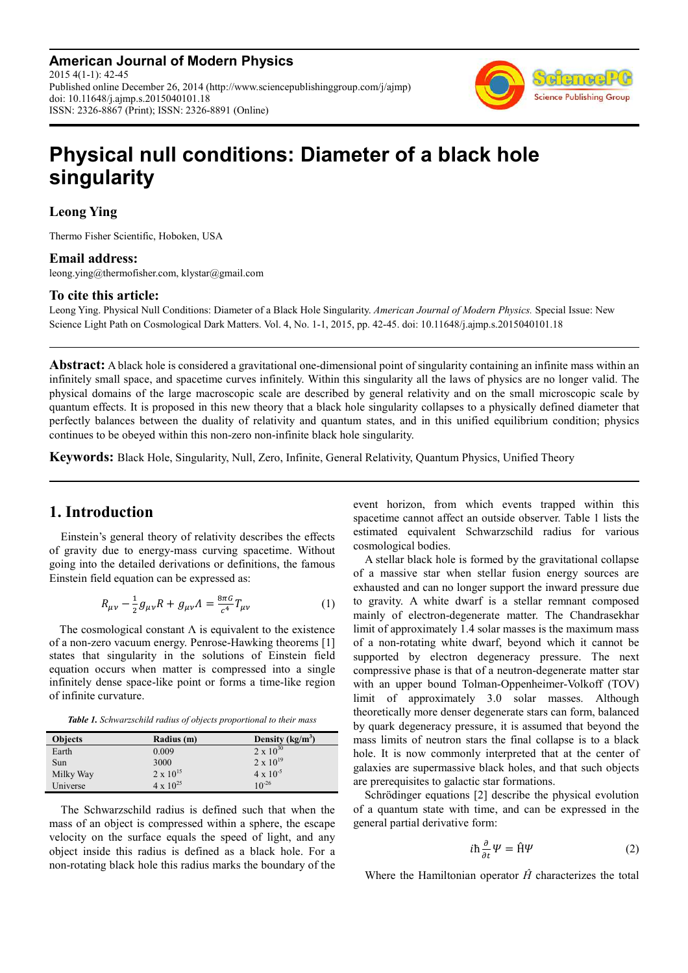**American Journal of Modern Physics** 2015 4(1-1): 42-45 Published online December 26, 2014 (http://www.sciencepublishinggroup.com/j/ajmp) doi: 10.11648/j.ajmp.s.2015040101.18 ISSN: 2326-8867 (Print); ISSN: 2326-8891 (Online)



# **Physical null conditions: Diameter of a black hole singularity**

# **Leong Ying**

Thermo Fisher Scientific, Hoboken, USA

### **Email address:**

leong.ying@thermofisher.com, klystar@gmail.com

## **To cite this article:**

Leong Ying. Physical Null Conditions: Diameter of a Black Hole Singularity. *American Journal of Modern Physics.* Special Issue: New Science Light Path on Cosmological Dark Matters. Vol. 4, No. 1-1, 2015, pp. 42-45. doi: 10.11648/j.ajmp.s.2015040101.18

**Abstract:** A black hole is considered a gravitational one-dimensional point of singularity containing an infinite mass within an infinitely small space, and spacetime curves infinitely. Within this singularity all the laws of physics are no longer valid. The physical domains of the large macroscopic scale are described by general relativity and on the small microscopic scale by quantum effects. It is proposed in this new theory that a black hole singularity collapses to a physically defined diameter that perfectly balances between the duality of relativity and quantum states, and in this unified equilibrium condition; physics continues to be obeyed within this non-zero non-infinite black hole singularity.

**Keywords:** Black Hole, Singularity, Null, Zero, Infinite, General Relativity, Quantum Physics, Unified Theory

# **1. Introduction**

Einstein's general theory of relativity describes the effects of gravity due to energy-mass curving spacetime. Without going into the detailed derivations or definitions, the famous Einstein field equation can be expressed as:

$$
R_{\mu\nu} - \frac{1}{2}g_{\mu\nu}R + g_{\mu\nu}A = \frac{8\pi G}{c^4}T_{\mu\nu}
$$
 (1)

The cosmological constant  $\Lambda$  is equivalent to the existence of a non-zero vacuum energy. Penrose-Hawking theorems [1] states that singularity in the solutions of Einstein field equation occurs when matter is compressed into a single infinitely dense space-like point or forms a time-like region of infinite curvature.

*Table 1. Schwarzschild radius of objects proportional to their mass* 

| <b>Objects</b> | Radius (m)         | Density $(kg/m3)$  |
|----------------|--------------------|--------------------|
| Earth          | 0.009              | $2 \times 10^{30}$ |
| Sun            | 3000               | $2 \times 10^{19}$ |
| Milky Way      | $2 \times 10^{15}$ | $4 \times 10^{-5}$ |
| Universe       | $4 \times 10^{25}$ | $10^{-26}$         |

The Schwarzschild radius is defined such that when the mass of an object is compressed within a sphere, the escape velocity on the surface equals the speed of light, and any object inside this radius is defined as a black hole. For a non-rotating black hole this radius marks the boundary of the event horizon, from which events trapped within this spacetime cannot affect an outside observer. Table 1 lists the estimated equivalent Schwarzschild radius for various cosmological bodies.

A stellar black hole is formed by the gravitational collapse of a massive star when stellar fusion energy sources are exhausted and can no longer support the inward pressure due to gravity. A white dwarf is a stellar remnant composed mainly of electron-degenerate matter. The Chandrasekhar limit of approximately 1.4 solar masses is the maximum mass of a non-rotating white dwarf, beyond which it cannot be supported by electron degeneracy pressure. The next compressive phase is that of a neutron-degenerate matter star with an upper bound Tolman-Oppenheimer-Volkoff (TOV) limit of approximately 3.0 solar masses. Although theoretically more denser degenerate stars can form, balanced by quark degeneracy pressure, it is assumed that beyond the mass limits of neutron stars the final collapse is to a black hole. It is now commonly interpreted that at the center of galaxies are supermassive black holes, and that such objects are prerequisites to galactic star formations.

Schrödinger equations [2] describe the physical evolution of a quantum state with time, and can be expressed in the general partial derivative form:

$$
i\hbar \frac{\partial}{\partial t} \Psi = \hat{H}\Psi \tag{2}
$$

Where the Hamiltonian operator *Ĥ* characterizes the total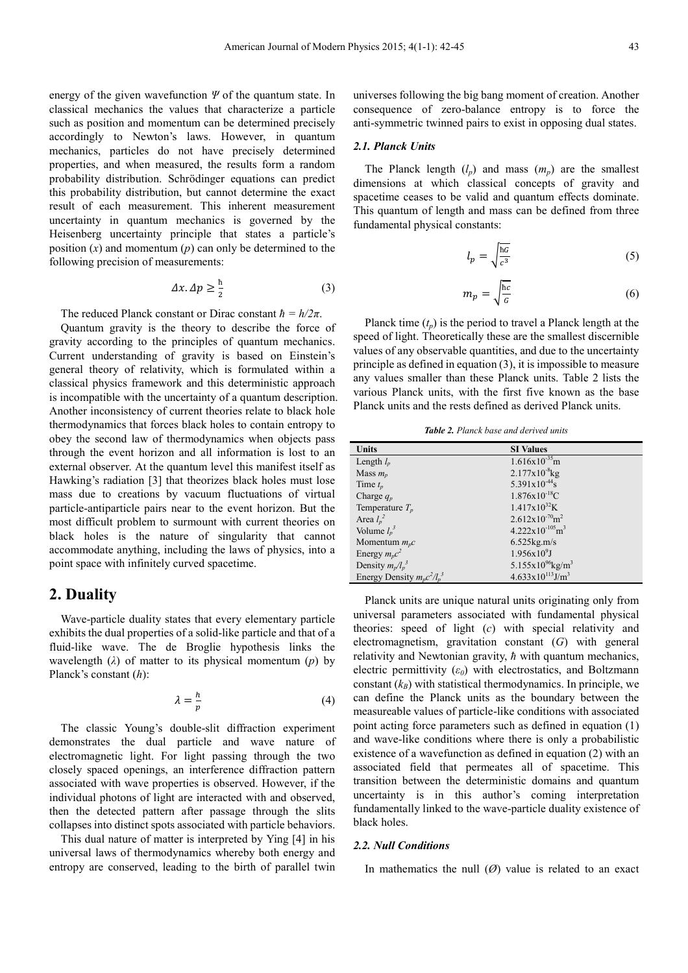energy of the given wavefunction *Ψ* of the quantum state. In classical mechanics the values that characterize a particle such as position and momentum can be determined precisely accordingly to Newton's laws. However, in quantum mechanics, particles do not have precisely determined properties, and when measured, the results form a random probability distribution. Schrödinger equations can predict this probability distribution, but cannot determine the exact result of each measurement. This inherent measurement uncertainty in quantum mechanics is governed by the Heisenberg uncertainty principle that states a particle's position (*x*) and momentum (*p*) can only be determined to the following precision of measurements:

$$
\Delta x.\Delta p \ge \frac{\hbar}{2} \tag{3}
$$

The reduced Planck constant or Dirac constant  $\hbar = h/2\pi$ .

Quantum gravity is the theory to describe the force of gravity according to the principles of quantum mechanics. Current understanding of gravity is based on Einstein's general theory of relativity, which is formulated within a classical physics framework and this deterministic approach is incompatible with the uncertainty of a quantum description. Another inconsistency of current theories relate to black hole thermodynamics that forces black holes to contain entropy to obey the second law of thermodynamics when objects pass through the event horizon and all information is lost to an external observer. At the quantum level this manifest itself as Hawking's radiation [3] that theorizes black holes must lose mass due to creations by vacuum fluctuations of virtual particle-antiparticle pairs near to the event horizon. But the most difficult problem to surmount with current theories on black holes is the nature of singularity that cannot accommodate anything, including the laws of physics, into a point space with infinitely curved spacetime.

## **2. Duality**

Wave-particle duality states that every elementary particle exhibits the dual properties of a solid-like particle and that of a fluid-like wave. The de Broglie hypothesis links the wavelength  $(\lambda)$  of matter to its physical momentum  $(p)$  by Planck's constant (*h*):

$$
\lambda = \frac{h}{p} \tag{4}
$$

The classic Young's double-slit diffraction experiment demonstrates the dual particle and wave nature of electromagnetic light. For light passing through the two closely spaced openings, an interference diffraction pattern associated with wave properties is observed. However, if the individual photons of light are interacted with and observed, then the detected pattern after passage through the slits collapses into distinct spots associated with particle behaviors.

This dual nature of matter is interpreted by Ying [4] in his universal laws of thermodynamics whereby both energy and entropy are conserved, leading to the birth of parallel twin universes following the big bang moment of creation. Another consequence of zero-balance entropy is to force the anti-symmetric twinned pairs to exist in opposing dual states.

#### *2.1. Planck Units*

The Planck length  $(l_p)$  and mass  $(m_p)$  are the smallest dimensions at which classical concepts of gravity and spacetime ceases to be valid and quantum effects dominate. This quantum of length and mass can be defined from three fundamental physical constants:

$$
l_p = \sqrt{\frac{hc}{c^3}}\tag{5}
$$

$$
m_p = \sqrt{\frac{hc}{c}}\tag{6}
$$

Planck time  $(t_p)$  is the period to travel a Planck length at the speed of light. Theoretically these are the smallest discernible values of any observable quantities, and due to the uncertainty principle as defined in equation (3), it is impossible to measure any values smaller than these Planck units. Table 2 lists the various Planck units, with the first five known as the base Planck units and the rests defined as derived Planck units.

*Table 2. Planck base and derived units* 

| <b>Units</b>                     | <b>SI</b> Values                         |
|----------------------------------|------------------------------------------|
| Length $l_p$                     | $1.616x10^{-35}m$                        |
| Mass $m_p$                       | $2.177 \times 10^{-8}$ kg                |
| Time $t_p$                       | $5.391x10^{-44}$ s                       |
| Charge $q_p$                     | $1.876 \times 10^{-18}$ C                |
| Temperature $T_n$                | $1.417x10^{32}K$                         |
| Area $l_p^2$                     | $2.612 \times 10^{-70}$ m <sup>2</sup>   |
| Volume $l_n^3$                   | $4.222 \times 10^{-105}$ m <sup>3</sup>  |
| Momentum $m_{n}c$                | $6.525$ kg.m/s                           |
| Energy $m_p c^2$                 | $1.956x10^{9}J$                          |
| Density $m_p/l_p^3$              | 5.155x10 <sup>96</sup> kg/m <sup>3</sup> |
| Energy Density $m_p c^2 / l_p^3$ | $4.633x10^{113}$ J/m <sup>3</sup>        |

Planck units are unique natural units originating only from universal parameters associated with fundamental physical theories: speed of light (*c*) with special relativity and electromagnetism, gravitation constant (*G*) with general relativity and Newtonian gravity, *ħ* with quantum mechanics, electric permittivity  $(\varepsilon_0)$  with electrostatics, and Boltzmann constant  $(k_B)$  with statistical thermodynamics. In principle, we can define the Planck units as the boundary between the measureable values of particle-like conditions with associated point acting force parameters such as defined in equation (1) and wave-like conditions where there is only a probabilistic existence of a wavefunction as defined in equation (2) with an associated field that permeates all of spacetime. This transition between the deterministic domains and quantum uncertainty is in this author's coming interpretation fundamentally linked to the wave-particle duality existence of black holes.

#### *2.2. Null Conditions*

In mathematics the null  $(\emptyset)$  value is related to an exact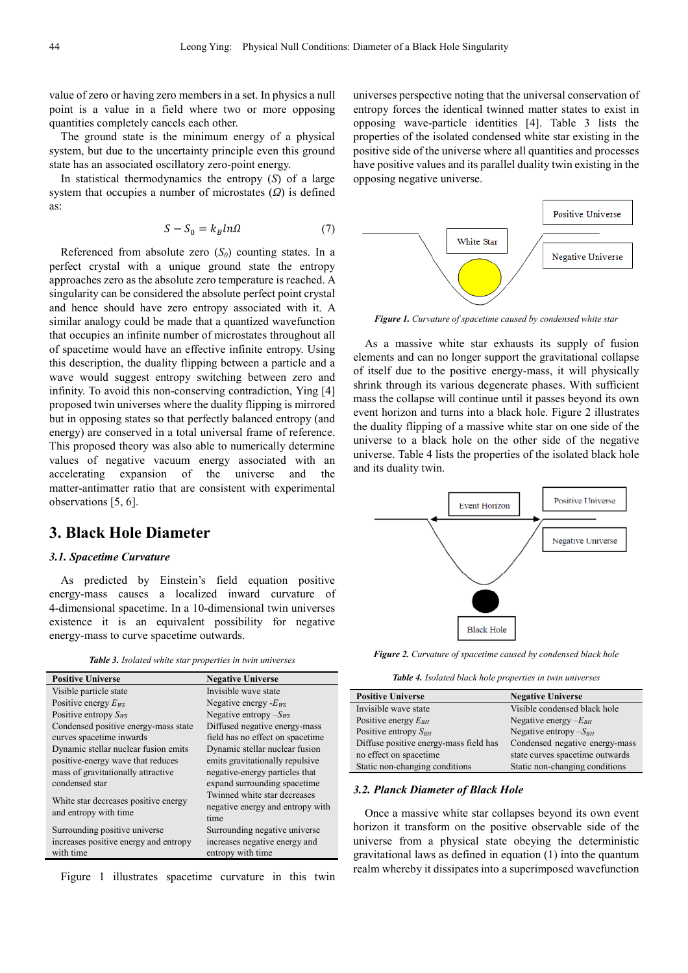value of zero or having zero members in a set. In physics a null point is a value in a field where two or more opposing quantities completely cancels each other.

The ground state is the minimum energy of a physical system, but due to the uncertainty principle even this ground state has an associated oscillatory zero-point energy.

In statistical thermodynamics the entropy (*S*) of a large system that occupies a number of microstates (*Ω*) is defined as:

$$
S - S_0 = k_B \ln \Omega \tag{7}
$$

Referenced from absolute zero  $(S_0)$  counting states. In a perfect crystal with a unique ground state the entropy approaches zero as the absolute zero temperature is reached. A singularity can be considered the absolute perfect point crystal and hence should have zero entropy associated with it. A similar analogy could be made that a quantized wavefunction that occupies an infinite number of microstates throughout all of spacetime would have an effective infinite entropy. Using this description, the duality flipping between a particle and a wave would suggest entropy switching between zero and infinity. To avoid this non-conserving contradiction, Ying [4] proposed twin universes where the duality flipping is mirrored but in opposing states so that perfectly balanced entropy (and energy) are conserved in a total universal frame of reference. This proposed theory was also able to numerically determine values of negative vacuum energy associated with an accelerating expansion of the universe and the matter-antimatter ratio that are consistent with experimental observations [5, 6].

# **3. Black Hole Diameter**

#### *3.1. Spacetime Curvature*

As predicted by Einstein's field equation positive energy-mass causes a localized inward curvature of 4-dimensional spacetime. In a 10-dimensional twin universes existence it is an equivalent possibility for negative energy-mass to curve spacetime outwards.

*Table 3. Isolated white star properties in twin universes* 

| <b>Positive Universe</b>              | <b>Negative Universe</b>         |
|---------------------------------------|----------------------------------|
| Visible particle state                | Invisible wave state             |
| Positive energy $E_{WS}$              | Negative energy $-E_{WS}$        |
| Positive entropy $S_{WS}$             | Negative entropy $-S_{WS}$       |
| Condensed positive energy-mass state  | Diffused negative energy-mass    |
| curves spacetime inwards              | field has no effect on spacetime |
| Dynamic stellar nuclear fusion emits  | Dynamic stellar nuclear fusion   |
| positive-energy wave that reduces     | emits gravitationally repulsive  |
| mass of gravitationally attractive    | negative-energy particles that   |
| condensed star                        | expand surrounding spacetime     |
| White star decreases positive energy  | Twinned white star decreases     |
| and entropy with time                 | negative energy and entropy with |
|                                       | time                             |
| Surrounding positive universe         | Surrounding negative universe    |
| increases positive energy and entropy | increases negative energy and    |
| with time                             | entropy with time                |

Figure 1 illustrates spacetime curvature in this twin

universes perspective noting that the universal conservation of entropy forces the identical twinned matter states to exist in opposing wave-particle identities [4]. Table 3 lists the properties of the isolated condensed white star existing in the positive side of the universe where all quantities and processes have positive values and its parallel duality twin existing in the opposing negative universe.



*Figure 1. Curvature of spacetime caused by condensed white star* 

As a massive white star exhausts its supply of fusion elements and can no longer support the gravitational collapse of itself due to the positive energy-mass, it will physically shrink through its various degenerate phases. With sufficient mass the collapse will continue until it passes beyond its own event horizon and turns into a black hole. Figure 2 illustrates the duality flipping of a massive white star on one side of the universe to a black hole on the other side of the negative universe. Table 4 lists the properties of the isolated black hole and its duality twin.



*Figure 2. Curvature of spacetime caused by condensed black hole* 

*Table 4. Isolated black hole properties in twin universes* 

| <b>Positive Universe</b>               | <b>Negative Universe</b>        |
|----------------------------------------|---------------------------------|
| Invisible wave state                   | Visible condensed black hole    |
| Positive energy $E_{BH}$               | Negative energy $-E_{BH}$       |
| Positive entropy $S_{BH}$              | Negative entropy $-S_{BH}$      |
| Diffuse positive energy-mass field has | Condensed negative energy-mass  |
| no effect on spacetime                 | state curves spacetime outwards |
| Static non-changing conditions         | Static non-changing conditions  |

#### *3.2. Planck Diameter of Black Hole*

Once a massive white star collapses beyond its own event horizon it transform on the positive observable side of the universe from a physical state obeying the deterministic gravitational laws as defined in equation (1) into the quantum realm whereby it dissipates into a superimposed wavefunction